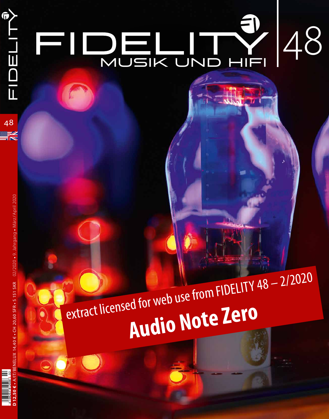**FK** 

### E) 48 MUSIK UND HIFI F

**WARTER** 

# extract licensed for web use from FIDELITY 48 - 2/2020 **Audio Note Zero**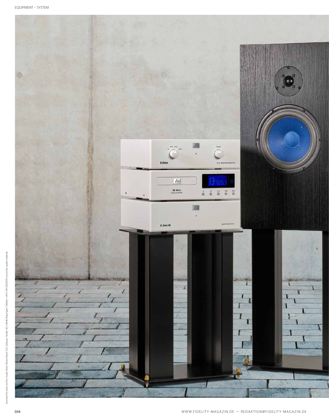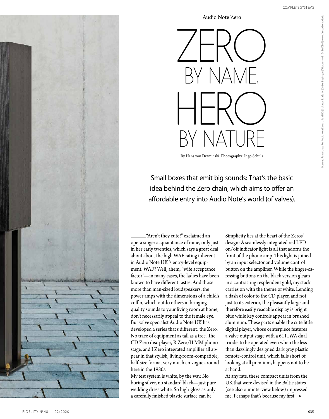Audio Note Zero



Small boxes that emit big sounds: That's the basic idea behind the Zero chain, which aims to offer an affordable entry into Audio Note's world (of valves).

 "Aren't they cute!" exclaimed an opera singer acquaintance of mine, only just in her early twenties, which says a great deal about about the high WAF rating inherent in Audio Note UK 's entry-level equipment. WAF? Well, ahem, "wife acceptance factor"—in many cases, the ladies have been known to have different tastes. And those more than man-sized loudspeakers, the power amps with the dimensions of a child's coffin, which outdo others in bringing quality sounds to your living room at home, don't necessarily appeal to the female eye. But valve specialist Audio Note UK has developed a series that's different: the Zero. No trace of equipment as tall as a tree. The CD Zero disc player, R Zero/II MM phono stage, and I Zero integrated amplifier all appear in that stylish, living-room-compatible, half-size format very much en vogue around here in the 1980s.

My test system is white, by the way. No boring silver, no standard black—just pure wedding dress white. So high-gloss as only a carefully finished plastic surface can be.

Simplicity lies at the heart of the Zeros' design: A seamlessly integrated red LED on/off indicator light is all that adorns the front of the phono amp. This light is joined by an input selector and volume control button on the amplifier. While the finger-caressing buttons on the black version gleam in a contrasting resplendent gold, my stack carries on with the theme of white. Lending a dash of color to the CD player, and not just to its exterior, the pleasantly large and therefore easily readable display is bright blue while key controls appear in brushed aluminum. These parts enable the cute little digital player, whose centerpiece features a valve output stage with a 6111WA dual triode, to be operated even when the less than dazzlingly designed dark gray plastic remote-control unit, which falls short of looking at all premium, happens not to be at hand.

At any rate, these compact units from the UK that were devised in the Baltic states (see also our interview below) impressed me. Perhaps that's because my first ▶

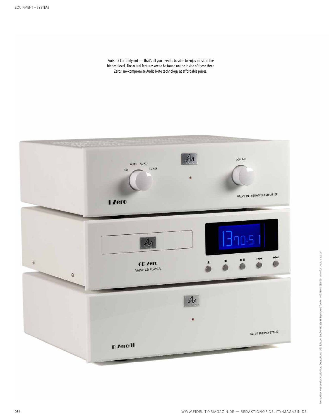Puristic? Certainly not - that's all you need to be able to enjoy music at the highest level. The actual features are to be found on the inside of these three Zeros: no-compromise Audio Note technology at affordable prices.

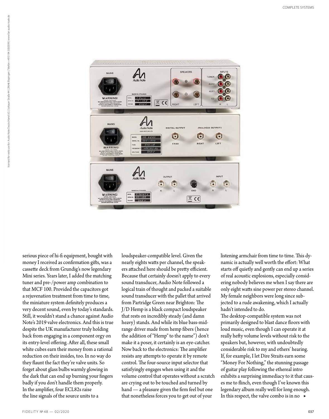

serious piece of hi-fi equipment, bought with money I received as confirmation gifts, was a cassette deck from Grundig's now legendary Mini series. Years later, I added the matching tuner and pre-/power amp combination to that MCF 100. Provided the capacitors got a rejuvenation treatment from time to time, the miniature system definitely produces a very decent sound, even by today's standards. Still, it wouldn't stand a chance against Audio Note's 2019 valve electronics. And this is true despite the UK manufacturer truly holding back from engaging in a component orgy on its entry-level offering. After all, these small white cubes earn their money from a rational reduction on their insides, too. In no way do they flaunt the fact they're valve units. So forget about glass bulbs warmly glowing in the dark that can end up burning your fingers badly if you don't handle them properly. In the amplifier, four ECL82s raise the line signals of the source units to a

loudspeaker-compatible level. Given the nearly eights watts per channel, the speakers attached here should be pretty efficient. Because that certainly doesn't apply to every sound transducer, Audio Note followed a logical train of thought and packed a suitable sound transducer with the pallet that arrived from Partridge Green near Brighton: The J/D Hemp is a black compact loudspeaker that rests on incredibly steady (and damn heavy) stands. And while its blue bass-midrange driver made from hemp fibers (hence the addition of "Hemp" to the name") don't make it a poser, it certainly is an eye-catcher. Now back to the electronics: The amplifier resists any attempts to operate it by remote control. The four-source input selector that satisfyingly engages when using it and the volume control that operates without a scratch are crying out to be touched and turned by hand — a pleasure given the firm feel but one that nonetheless forces you to get out of your

listening armchair from time to time. This dynamic is actually well worth the effort: What starts off quietly and gently can end up a series of real acoustic explosions, especially considering nobody believes me when I say there are only eight watts sine power per stereo channel. My female neighbors were long since subjected to a rude awakening, which I actually hadn't intended to do.

The desktop-compatible system was not primarily designed to blast dance floors with loud music, even though I can operate it at really hefty volume levels without risk to the speakers but, however, with undoubtedly considerable risk to my and others' hearing. If, for example, I let Dire Straits earn some "Money For Nothing," the stunning passage of guitar play following the ethereal intro exhibits a surprising immediacy to it that causes me to flinch, even though I've known this legendary album really well for long enough. In this respect, the valve combo is in no  $\rightarrow$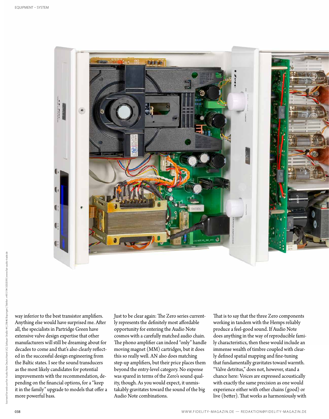

way inferior to the best transistor amplifiers. Anything else would have surprised me. After all, the specialists in Partridge Green have extensive valve design expertise that other manufacturers will still be dreaming about for decades to come and that's also clearly reflected in the successful design engineering from the Baltic states. I see the sound transducers as the most likely candidates for potential improvements with the recommendation, depending on the financial options, for a "keep it in the family" upgrade to models that offer a more powerful bass.

Just to be clear again: The Zero series currently represents the definitely most affordable opportunity for entering the Audio Note cosmos with a carefully matched audio chain. The phono amplifier can indeed "only" handle moving magnet (MM) cartridges, but it does this so really well. AN also does matching step-up amplifiers, but their price places them beyond the entry-level category. No expense was spared in terms of the Zero's sound quality, though. As you would expect, it unmistakably gravitates toward the sound of the big Audio Note combinations.

That is to say that the three Zero components working in tandem with the Hemps reliably produce a feel-good sound. If Audio Note does anything in the way of reproducible family characteristics, then these would include an immense wealth of timbre coupled with clearly defined spatial mapping and fine-tuning that fundamentally gravitates toward warmth. "Valve detritus," does not, however, stand a chance here: Voices are expressed acoustically with exactly the same precision as one would experience either with other chains (good) or live (better). That works as harmoniously with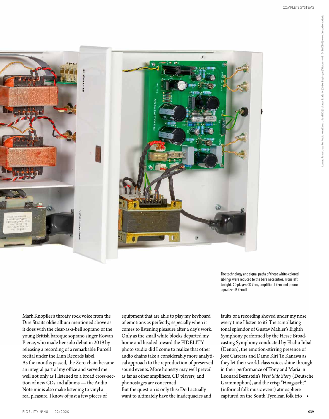

The technology and signal paths of these white-colored siblings were reduced to the bare necessities. From left to right: CD player: CD Zero, amplifier: I Zero and phono equalizer: R Zero/II

Mark Knopfler's throaty rock voice from the Dire Straits oldie album mentioned above as it does with the clear-as-a-bell soprano of the young British baroque soprano singer Rowan Pierce, who made her solo debut in 2019 by releasing a recording of a remarkable Purcell recital under the Linn Records label. As the months passed, the Zero chain became an integral part of my office and served me well not only as I listened to a broad cross-section of new CDs and albums — the Audio Note minis also make listening to vinyl a real pleasure. I know of just a few pieces of

equipment that are able to play my keyboard of emotions as perfectly, especially when it comes to listening pleasure after a day's work. Only as the small white blocks departed my home and headed toward the FIDELITY photo studio did I come to realize that other audio chains take a considerably more analytical approach to the reproduction of preserved sound events. More honesty may well prevail as far as other amplifiers, CD players, and phonostages are concerned. But the question is only this: Do I actually want to ultimately have the inadequacies and

faults of a recording shoved under my nose every time I listen to it? The scintillating tonal splendor of Gustav Mahler's Eighth Symphony performed by the Hesse Broadcasting Symphony conducted by Eliahu Inbal (Denon), the emotion-stirring presence of José Carreras and Dame Kiri Te Kanawa as they let their world-class voices shine through in their performance of Tony and Maria in Leonard Bernstein's *West Side Story* (Deutsche Grammophon), and the crisp "Hoagascht" (informal folk music event) atmosphere captured on the South Tyrolean folk trio ▶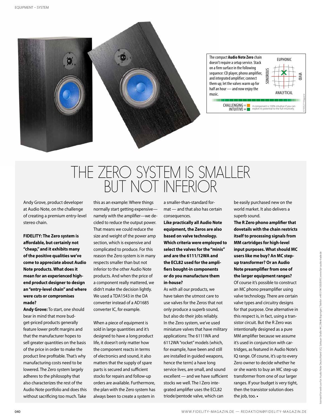



## THE ZERO SYSTEM IS SMALLER BUT NOT INFERIOR

Andy Grove, product developer at Audio Note, on the challenge of creating a premium entry-level stereo chain.

**FIDELITY: The Zero system is affordable, but certainly not "cheap," and it exhibits many of the positive qualities we've come to appreciate about Audio Note products. What does it mean for an experienced highend product designer to design an "entry-level chain" and where were cuts or compromises made?**

**Andy Grove:** To start, one should bear in mind that more budget-priced products generally feature lower profit margins and that the manufacturer hopes to sell greater quantities on the basis of the price in order to make the product line profitable. That's why manufacturing costs need to be lowered. The Zero system largely adheres to the philosophy that also characterizes the rest of the Audio Note portfolio and does this without sacrificing too much. Take

this as an example: Where things normally start getting expensive namely with the amplifier—we decided to reduce the output power. That means we could reduce the size and weight of the power amp section, which is expensive and complicated to produce. For this reason the Zero system is in many respects smaller than but not inferior to the other Audio Note products. And when the price of a component really mattered, we didn't make the decision lightly. We used a TDA1543 in the DA converter instead of a AD1685 converter IC, for example.

When a piece of equipment is sold in large quantities and it's designed to have a long product life, it doesn't only matter how the component reacts in terms of electronics and sound, it also matters that the supply of spare parts is secured and sufficient stocks for repairs and follow-up orders are available. Furthermore, the plan with the Zero system has always been to create a system in

a smaller-than-standard format — and that also has certain consequences.

**Like practically all Audio Note equipment, the Zeros are also based on valve technology. Which criteria were employed to select the valves for the "minis" and are the 6111/12WA and the ECL82 used for the amplifiers bought-in components or do you manufacture them in-house?**

As with all our products, we have taken the utmost care to use valves for the Zeros that not only produce a superb sound, but also do their jobs reliably. In the Zero system, we've used miniature valves that have military applications: The 6111WA and 6112WA "rocket" models (which, for example, have been and still are installed in guided weapons, hence the term) a have long service lives, are small, and sound excellent — and we have sufficient stocks we well. The I Zero integrated amplifier uses the ECL82 triode/pentode valve, which can

be easily purchased new on the world market. It also delivers a superb sound.

**The R Zero phono amplifier that dovetails with the chain restricts itself to processing signals from MM cartridges for high-level input purposes. What should MC users like me buy? An MC stepup transformer? Or an Audio Note preamplifier from one of the larger equipment ranges?** Of course it's possible to construct an MC phono preamplifier using valve technology. There are certain valve types and circuitry designs for that purpose. One alternative in this respect is, in fact, using a transistor circuit. But the R Zero was intentionally designed as a pure MM amplifier because we assume it's used in conjunction with cartridges, as featured in Audio Note's IQ range. Of course, it's up to every Zero owner to decide whether he or she wants to buy an MC step-up transformer from one of our larger ranges. If your budget is very tight, then the transistor solution does the job, too. ■